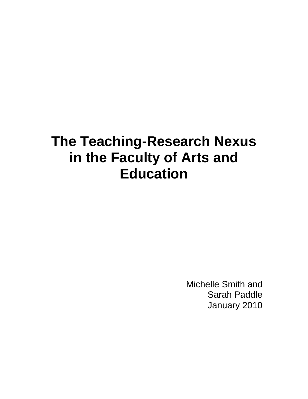# **The Teaching-Research Nexus in the Faculty of Arts and Education**

Michelle Smith and Sarah Paddle January 2010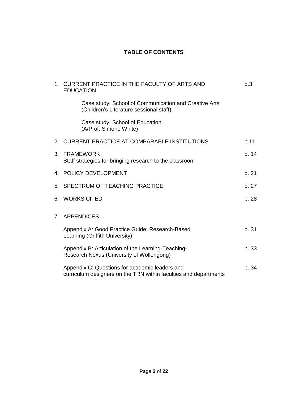## **TABLE OF CONTENTS**

| 1.             | CURRENT PRACTICE IN THE FACULTY OF ARTS AND<br><b>EDUCATION</b>                                                    | p.3   |
|----------------|--------------------------------------------------------------------------------------------------------------------|-------|
|                | Case study: School of Communication and Creative Arts<br>(Children's Literature sessional staff)                   |       |
|                | Case study: School of Education<br>(A/Prof. Simone White)                                                          |       |
|                | 2. CURRENT PRACTICE AT COMPARABLE INSTITUTIONS                                                                     | p.11  |
| 3.             | <b>FRAMEWORK</b><br>Staff strategies for bringing research to the classroom                                        | p. 14 |
|                | 4. POLICY DEVELOPMENT                                                                                              | p. 21 |
|                | 5. SPECTRUM OF TEACHING PRACTICE                                                                                   | p. 27 |
|                | 6. WORKS CITED                                                                                                     | p. 28 |
| 7 <sup>7</sup> | <b>APPENDICES</b>                                                                                                  |       |
|                | Appendix A: Good Practice Guide: Research-Based<br>Learning (Griffith University)                                  | p. 31 |
|                | Appendix B: Articulation of the Learning-Teaching-<br>Research Nexus (University of Wollongong)                    | p. 33 |
|                | Appendix C: Questions for academic leaders and<br>curriculum designers on the TRN within faculties and departments | p. 34 |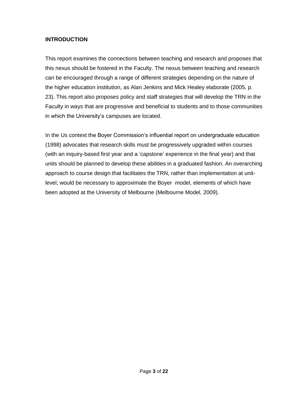## **INTRODUCTION**

This report examines the connections between teaching and research and proposes that this nexus should be fostered in the Faculty. The nexus between teaching and research can be encouraged through a range of different strategies depending on the nature of the higher education institution, as Alan Jenkins and Mick Healey elaborate (2005, p. 23). This report also proposes policy and staff strategies that will develop the TRN in the Faculty in ways that are progressive and beneficial to students and to those communities in which the University's campuses are located.

In the Us context the Boyer Commission's influential report on undergraduate education (1998) advocates that research skills must be progressively upgraded within courses (with an inquiry-based first year and a 'capstone' experience in the final year) and that units should be planned to develop these abilities in a graduated fashion. An overarching approach to course design that facilitates the TRN, rather than implementation at unitlevel, would be necessary to approximate the Boyer model, elements of which have been adopted at the University of Melbourne (Melbourne Model, 2009).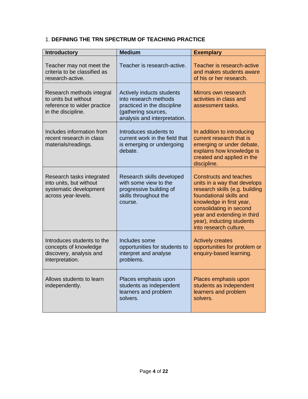## 1. **DEFINING THE TRN SPECTRUM OF TEACHING PRACTICE**

| <b>Introductory</b>                                                                                    | <b>Medium</b>                                                                                                                            | <b>Exemplary</b>                                                                                                                                                                                                                                                        |
|--------------------------------------------------------------------------------------------------------|------------------------------------------------------------------------------------------------------------------------------------------|-------------------------------------------------------------------------------------------------------------------------------------------------------------------------------------------------------------------------------------------------------------------------|
| Teacher may not meet the<br>criteria to be classified as<br>research-active.                           | Teacher is research-active.                                                                                                              | Teacher is research-active<br>and makes students aware<br>of his or her research.                                                                                                                                                                                       |
| Research methods integral<br>to units but without<br>reference to wider practice<br>in the discipline. | Actively inducts students<br>into research methods<br>practiced in the discipline<br>(gathering sources,<br>analysis and interpretation. | Mirrors own research<br>activities in class and<br>assessment tasks.                                                                                                                                                                                                    |
| Includes information from<br>recent research in class<br>materials/readings.                           | Introduces students to<br>current work in the field that<br>is emerging or undergoing<br>debate.                                         | In addition to introducing<br>current research that is<br>emerging or under debate,<br>explains how knowledge is<br>created and applied in the<br>discipline.                                                                                                           |
| Research tasks integrated<br>into units, but without<br>systematic development<br>across year-levels.  | Research skills developed<br>with some view to the<br>progressive building of<br>skills throughout the<br>course.                        | <b>Constructs and teaches</b><br>units in a way that develops<br>research skills (e.g. building<br>foundational skills and<br>knowledge in first year,<br>consolidating in second<br>year and extending in third<br>year), inducting students<br>into research culture. |
| Introduces students to the<br>concepts of knowledge<br>discovery, analysis and<br>interpretation.      | Includes some<br>opportunities for students to<br>interpret and analyse<br>problems.                                                     | <b>Actively creates</b><br>opportunities for problem or<br>enquiry-based learning.                                                                                                                                                                                      |
| Allows students to learn<br>independently.                                                             | Places emphasis upon<br>students as independent<br>learners and problem<br>solvers.                                                      | Places emphasis upon<br>students as independent<br>learners and problem<br>solvers.                                                                                                                                                                                     |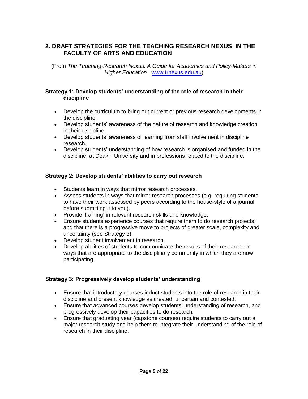## **2. DRAFT STRATEGIES FOR THE TEACHING RESEARCH NEXUS IN THE FACULTY OF ARTS AND EDUCATION**

(From *The Teaching-Research Nexus: A Guide for Academics and Policy-Makers in Higher Education* [www.trnexus.edu.au\)](http://www.trnexus.edu.au/)

#### **Strategy 1: Develop students' understanding of the role of research in their discipline**

- Develop the curriculum to bring out current or previous research developments in the discipline.
- Develop students' awareness of the nature of research and knowledge creation in their discipline.
- Develop students' awareness of learning from staff involvement in discipline research.
- Develop students' understanding of how research is organised and funded in the discipline, at Deakin University and in professions related to the discipline.

#### **Strategy 2: Develop students' abilities to carry out research**

- Students learn in ways that mirror research processes.
- Assess students in ways that mirror research processes (e.g. requiring students to have their work assessed by peers according to the house-style of a journal before submitting it to you).
- Provide 'training' in relevant research skills and knowledge.
- Ensure students experience courses that require them to do research projects; and that there is a progressive move to projects of greater scale, complexity and uncertainty (see Strategy 3).
- Develop student involvement in research.
- Develop abilities of students to communicate the results of their research in ways that are appropriate to the disciplinary community in which they are now participating.

#### **Strategy 3: Progressively develop students' understanding**

- Ensure that introductory courses induct students into the role of research in their discipline and present knowledge as created, uncertain and contested.
- Ensure that advanced courses develop students' understanding of research, and progressively develop their capacities to do research.
- Ensure that graduating year (capstone courses) require students to carry out a major research study and help them to integrate their understanding of the role of research in their discipline.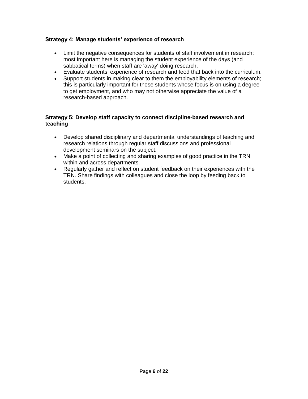## **Strategy 4: Manage students' experience of research**

- Limit the negative consequences for students of staff involvement in research; most important here is managing the student experience of the days (and sabbatical terms) when staff are 'away' doing research.
- Evaluate students' experience of research and feed that back into the curriculum.
- Support students in making clear to them the employability elements of research; this is particularly important for those students whose focus is on using a degree to get employment, and who may not otherwise appreciate the value of a research-based approach.

#### **Strategy 5: Develop staff capacity to connect discipline-based research and teaching**

- Develop shared disciplinary and departmental understandings of teaching and research relations through regular staff discussions and professional development seminars on the subject.
- Make a point of collecting and sharing examples of good practice in the TRN within and across departments.
- Regularly gather and reflect on student feedback on their experiences with the TRN. Share findings with colleagues and close the loop by feeding back to students.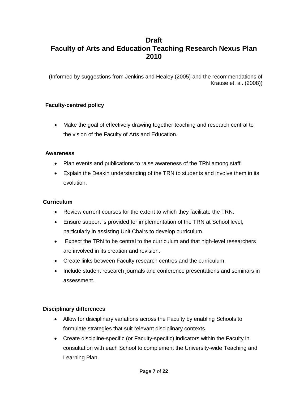## **Draft Faculty of Arts and Education Teaching Research Nexus Plan 2010**

(Informed by suggestions from Jenkins and Healey (2005) and the recommendations of Krause et. al. (2008))

## **Faculty-centred policy**

 Make the goal of effectively drawing together teaching and research central to the vision of the Faculty of Arts and Education.

## **Awareness**

- Plan events and publications to raise awareness of the TRN among staff.
- Explain the Deakin understanding of the TRN to students and involve them in its evolution.

## **Curriculum**

- Review current courses for the extent to which they facilitate the TRN.
- Ensure support is provided for implementation of the TRN at School level, particularly in assisting Unit Chairs to develop curriculum.
- Expect the TRN to be central to the curriculum and that high-level researchers are involved in its creation and revision.
- Create links between Faculty research centres and the curriculum.
- Include student research journals and conference presentations and seminars in assessment.

#### **Disciplinary differences**

- Allow for disciplinary variations across the Faculty by enabling Schools to formulate strategies that suit relevant disciplinary contexts.
- Create discipline-specific (or Faculty-specific) indicators within the Faculty in consultation with each School to complement the University-wide Teaching and Learning Plan.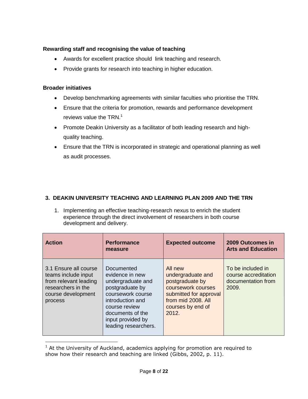## **Rewarding staff and recognising the value of teaching**

- Awards for excellent practice should link teaching and research.
- Provide grants for research into teaching in higher education.

## **Broader initiatives**

 $\overline{a}$ 

- Develop benchmarking agreements with similar faculties who prioritise the TRN.
- Ensure that the criteria for promotion, rewards and performance development reviews value the TRN.<sup>1</sup>
- Promote Deakin University as a facilitator of both leading research and highquality teaching.
- Ensure that the TRN is incorporated in strategic and operational planning as well as audit processes.

## **3. DEAKIN UNIVERSITY TEACHING AND LEARNING PLAN 2009 AND THE TRN**

1. Implementing an effective teaching-research nexus to enrich the student experience through the direct involvement of researchers in both course development and delivery.

| <b>Action</b>                                                                                                                | <b>Performance</b><br>measure                                                                                                                                                                    | <b>Expected outcome</b>                                                                                                                             | 2009 Outcomes in<br><b>Arts and Education</b>                            |
|------------------------------------------------------------------------------------------------------------------------------|--------------------------------------------------------------------------------------------------------------------------------------------------------------------------------------------------|-----------------------------------------------------------------------------------------------------------------------------------------------------|--------------------------------------------------------------------------|
| 3.1 Ensure all course<br>teams include input<br>from relevant leading<br>researchers in the<br>course development<br>process | Documented<br>evidence in new<br>undergraduate and<br>postgraduate by<br>coursework course<br>introduction and<br>course review<br>documents of the<br>input provided by<br>leading researchers. | All new<br>undergraduate and<br>postgraduate by<br>coursework courses<br>submitted for approval<br>from mid 2008. All<br>courses by end of<br>2012. | To be included in<br>course accreditation<br>documentation from<br>2009. |

 $1$  At the University of Auckland, academics applying for promotion are required to show how their research and teaching are linked (Gibbs, 2002, p. 11).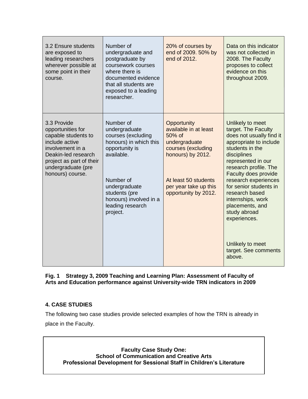| 3.2 Ensure students<br>are exposed to<br>leading researchers<br>wherever possible at<br>some point in their<br>course.                                                                     | Number of<br>undergraduate and<br>postgraduate by<br>coursework courses<br>where there is<br>documented evidence<br>that all students are<br>exposed to a leading<br>researcher.                                    | 20% of courses by<br>end of 2009. 50% by<br>end of 2012.                                                                                                                               | Data on this indicator<br>was not collected in<br>2008. The Faculty<br>proposes to collect<br>evidence on this<br>throughout 2009.                                                                                                                                                                                                                                                                       |
|--------------------------------------------------------------------------------------------------------------------------------------------------------------------------------------------|---------------------------------------------------------------------------------------------------------------------------------------------------------------------------------------------------------------------|----------------------------------------------------------------------------------------------------------------------------------------------------------------------------------------|----------------------------------------------------------------------------------------------------------------------------------------------------------------------------------------------------------------------------------------------------------------------------------------------------------------------------------------------------------------------------------------------------------|
| 3.3 Provide<br>opportunities for<br>capable students to<br>include active<br>involvement in a<br>Deakin-led research<br>project as part of their<br>undergraduate (pre<br>honours) course. | Number of<br>undergraduate<br>courses (excluding<br>honours) in which this<br>opportunity is<br>available.<br>Number of<br>undergraduate<br>students (pre<br>honours) involved in a<br>leading research<br>project. | Opportunity<br>available in at least<br>$50\%$ of<br>undergraduate<br>courses (excluding<br>honours) by 2012.<br>At least 50 students<br>per year take up this<br>opportunity by 2012. | Unlikely to meet<br>target. The Faculty<br>does not usually find it<br>appropriate to include<br>students in the<br>disciplines<br>represented in our<br>research profile. The<br>Faculty does provide<br>research experiences<br>for senior students in<br>research based<br>internships, work<br>placements, and<br>study abroad<br>experiences.<br>Unlikely to meet<br>target. See comments<br>above. |

**Fig. 1 Strategy 3, 2009 Teaching and Learning Plan: Assessment of Faculty of Arts and Education performance against University-wide TRN indicators in 2009**

## **4. CASE STUDIES**

The following two case studies provide selected examples of how the TRN is already in place in the Faculty.

**Faculty Case Study One: School of Communication and Creative Arts Professional Development for Sessional Staff in Children's Literature**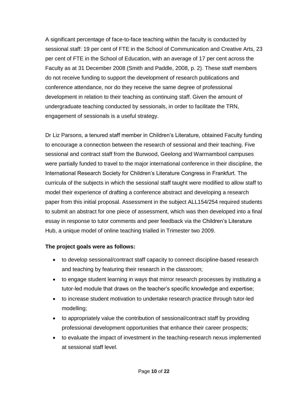A significant percentage of face-to-face teaching within the faculty is conducted by sessional staff: 19 per cent of FTE in the School of Communication and Creative Arts, 23 per cent of FTE in the School of Education, with an average of 17 per cent across the Faculty as at 31 December 2008 (Smith and Paddle, 2008, p. 2). These staff members do not receive funding to support the development of research publications and conference attendance, nor do they receive the same degree of professional development in relation to their teaching as continuing staff. Given the amount of undergraduate teaching conducted by sessionals, in order to facilitate the TRN, engagement of sessionals is a useful strategy.

Dr Liz Parsons, a tenured staff member in Children's Literature, obtained Faculty funding to encourage a connection between the research of sessional and their teaching. Five sessional and contract staff from the Burwood, Geelong and Warrnambool campuses were partially funded to travel to the major international conference in their discipline, the International Research Society for Children's Literature Congress in Frankfurt. The curricula of the subjects in which the sessional staff taught were modified to allow staff to model their experience of drafting a conference abstract and developing a research paper from this initial proposal. Assessment in the subject ALL154/254 required students to submit an abstract for one piece of assessment, which was then developed into a final essay in response to tutor comments and peer feedback via the Children's Literature Hub, a unique model of online teaching trialled in Trimester two 2009.

## **The project goals were as follows:**

- to develop sessional/contract staff capacity to connect discipline-based research and teaching by featuring their research in the classroom;
- to engage student learning in ways that mirror research processes by instituting a tutor-led module that draws on the teacher's specific knowledge and expertise;
- to increase student motivation to undertake research practice through tutor-led modelling;
- to appropriately value the contribution of sessional/contract staff by providing professional development opportunities that enhance their career prospects;
- to evaluate the impact of investment in the teaching-research nexus implemented at sessional staff level.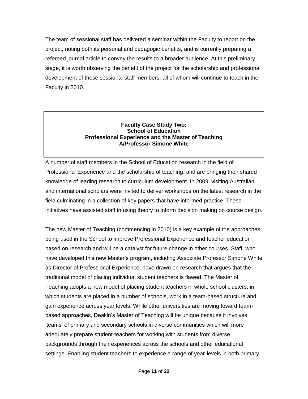The team of sessional staff has delivered a seminar within the Faculty to report on the project, noting both its personal and pedagogic benefits, and is currently preparing a refereed journal article to convey the results to a broader audience. At this preliminary stage, it is worth observing the benefit of the project for the scholarship and professional development of these sessional staff members, all of whom will continue to teach in the Faculty in 2010.

#### **Faculty Case Study Two: School of Education Professional Experience and the Master of Teaching A/Professor Simone White**

A number of staff members in the School of Education research in the field of Professional Experience and the scholarship of teaching, and are bringing their shared knowledge of leading research to curriculum development. In 2009, visiting Australian and international scholars were invited to deliver workshops on the latest research in the field culminating in a collection of key papers that have informed practice. These initiatives have assisted staff in using theory to inform decision making on course design.

The new Master of Teaching (commencing in 2010) is a key example of the approaches being used in the School to improve Professional Experience and teacher education based on research and will be a catalyst for future change in other courses. Staff, who have developed this new Master's program, including Associate Professor Simone White as Director of Professional Experience, have drawn on research that argues that the traditional model of placing individual student teachers is flawed. The Master of Teaching adopts a new model of placing student teachers in whole school clusters, in which students are placed in a number of schools, work in a team-based structure and gain experience across year levels. While other universities are moving toward teambased approaches, Deakin's Master of Teaching will be unique because it involves 'teams' of primary and secondary schools in diverse communities which will more adequately prepare student-teachers for working with students from diverse backgrounds through their experiences across the schools and other educational settings. Enabling student teachers to experience a range of year-levels in both primary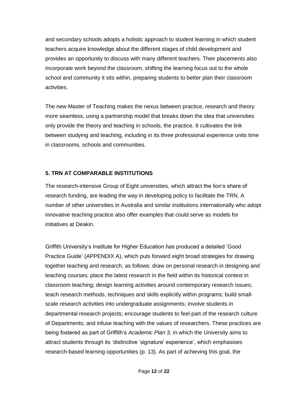and secondary schools adopts a holistic approach to student learning in which student teachers acquire knowledge about the different stages of child development and provides an opportunity to discuss with many different teachers. Their placements also incorporate work beyond the classroom, shifting the learning focus out to the whole school and community it sits within, preparing students to better plan their classroom activities.

The new Master of Teaching makes the nexus between practice, research and theory more seamless, using a partnership model that breaks down the idea that universities only provide the theory and teaching in schools, the practice. It cultivates the link between studying and teaching, including in its three professional experience units time in classrooms, schools and communities.

## **5. TRN AT COMPARABLE INSTITUTIONS**

The research-intensive Group of Eight universities, which attract the lion's share of research funding, are leading the way in developing policy to facilitate the TRN. A number of other universities in Australia and similar institutions internationally who adopt innovative teaching practice also offer examples that could serve as models for initiatives at Deakin.

Griffith University's Institute for Higher Education has produced a detailed 'Good Practice Guide' (APPENDIX A), which puts forward eight broad strategies for drawing together teaching and research, as follows: draw on personal research in designing and teaching courses; place the latest research in the field within its historical context in classroom teaching; design learning activities around contemporary research issues; teach research methods, techniques and skills explicitly within programs; build smallscale research activities into undergraduate assignments; involve students in departmental research projects; encourage students to feel part of the research culture of Departments; and infuse teaching with the values of researchers. These practices are being fostered as part of Griffith's *Academic Plan 3*, in which the University aims to attract students through its 'distinctive 'signature' experience', which emphasises research-based learning opportunities (p. 13). As part of achieving this goal, the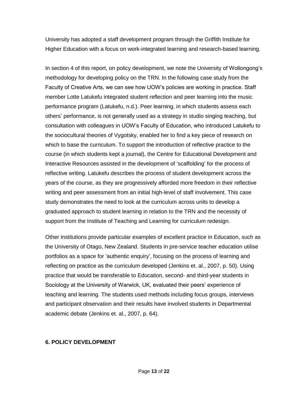University has adopted a staff development program through the Griffith Institute for Higher Education with a focus on work-integrated learning and research-based learning.

In section 4 of this report, on policy development, we note the University of Wollongong's methodology for developing policy on the TRN. In the following case study from the Faculty of Creative Arts, we can see how UOW's policies are working in practice. Staff member Lotte Latukefu integrated student reflection and peer learning into the music performance program (Latukefu, n.d.). Peer learning, in which students assess each others' performance, is not generally used as a strategy in studio singing teaching, but consultation with colleagues in UOW's Faculty of Education, who introduced Latukefu to the sociocultural theories of Vygotsky, enabled her to find a key piece of research on which to base the curriculum. To support the introduction of reflective practice to the course (in which students kept a journal), the Centre for Educational Development and Interactive Resources assisted in the development of 'scaffolding' for the process of reflective writing. Latukefu describes the process of student development across the years of the course, as they are progressively afforded more freedom in their reflective writing and peer assessment from an initial high-level of staff involvement. This case study demonstrates the need to look at the curriculum across units to develop a graduated approach to student learning in relation to the TRN and the necessity of support from the Institute of Teaching and Learning for curriculum redesign.

Other institutions provide particular examples of excellent practice in Education, such as the University of Otago, New Zealand. Students in pre-service teacher education utilise portfolios as a space for 'authentic enquiry', focusing on the process of learning and reflecting on practice as the curriculum developed (Jenkins et. al., 2007, p. 50). Using practice that would be transferable to Education, second- and third-year students in Sociology at the University of Warwick, UK, evaluated their peers' experience of teaching and learning. The students used methods including focus groups, interviews and participant observation and their results have involved students in Departmental academic debate (Jenkins et. al., 2007, p. 64).

#### **6. POLICY DEVELOPMENT**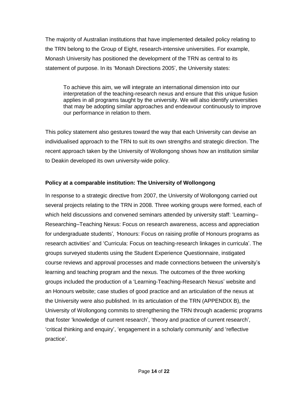The majority of Australian institutions that have implemented detailed policy relating to the TRN belong to the Group of Eight, research-intensive universities. For example, Monash University has positioned the development of the TRN as central to its statement of purpose. In its 'Monash Directions 2005', the University states:

To achieve this aim, we will integrate an international dimension into our interpretation of the teaching-research nexus and ensure that this unique fusion applies in all programs taught by the university. We will also identify universities that may be adopting similar approaches and endeavour continuously to improve our performance in relation to them.

This policy statement also gestures toward the way that each University can devise an individualised approach to the TRN to suit its own strengths and strategic direction. The recent approach taken by the University of Wollongong shows how an institution similar to Deakin developed its own university-wide policy.

## **Policy at a comparable institution: The University of Wollongong**

In response to a strategic directive from 2007, the University of Wollongong carried out several projects relating to the TRN in 2008. Three working groups were formed, each of which held discussions and convened seminars attended by university staff: 'Learning– Researching–Teaching Nexus: Focus on research awareness, access and appreciation for undergraduate students'*, '*Honours: Focus on raising profile of Honours programs as research activities' and 'Curricula: Focus on teaching-research linkages in curricula'. The groups surveyed students using the Student Experience Questionnaire, instigated course reviews and approval processes and made connections between the university's learning and teaching program and the nexus. The outcomes of the three working groups included the production of a 'Learning-Teaching-Research Nexus' website and an Honours website; case studies of good practice and an articulation of the nexus at the University were also published. In its articulation of the TRN (APPENDIX B), the University of Wollongong commits to strengthening the TRN through academic programs that foster 'knowledge of current research', 'theory and practice of current research', 'critical thinking and enquiry', 'engagement in a scholarly community' and 'reflective practice'.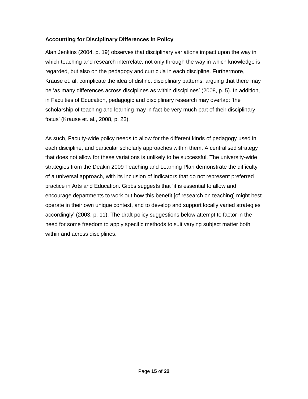## **Accounting for Disciplinary Differences in Policy**

Alan Jenkins (2004, p. 19) observes that disciplinary variations impact upon the way in which teaching and research interrelate, not only through the way in which knowledge is regarded, but also on the pedagogy and curricula in each discipline. Furthermore, Krause et. al. complicate the idea of distinct disciplinary patterns, arguing that there may be 'as many differences across disciplines as within disciplines' (2008, p. 5). In addition, in Faculties of Education, pedagogic and disciplinary research may overlap: 'the scholarship of teaching and learning may in fact be very much part of their disciplinary focus' (Krause et. al., 2008, p. 23).

As such, Faculty-wide policy needs to allow for the different kinds of pedagogy used in each discipline, and particular scholarly approaches within them. A centralised strategy that does not allow for these variations is unlikely to be successful. The university-wide strategies from the Deakin 2009 Teaching and Learning Plan demonstrate the difficulty of a universal approach, with its inclusion of indicators that do not represent preferred practice in Arts and Education. Gibbs suggests that 'it is essential to allow and encourage departments to work out how this benefit [of research on teaching] might best operate in their own unique context, and to develop and support locally varied strategies accordingly' (2003, p. 11). The draft policy suggestions below attempt to factor in the need for some freedom to apply specific methods to suit varying subject matter both within and across disciplines.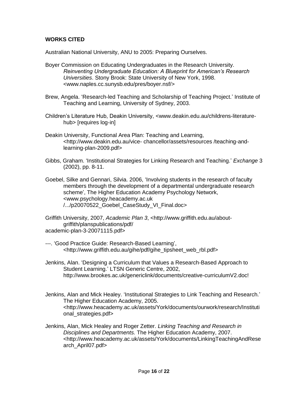## **WORKS CITED**

Australian National University, ANU to 2005: Preparing Ourselves.

- Boyer Commission on Educating Undergraduates in the Research University. *Reinventing Undergraduate Education: A Blueprint for American's Research Universities*. Stony Brook: State University of New York, 1998. <www.naples.cc.sunysb.edu/pres/boyer.nsf/>
- Brew, Angela. 'Research-led Teaching and Scholarship of Teaching Project.' Institute of Teaching and Learning, University of Sydney, 2003.
- Children's Literature Hub, Deakin University, <www.deakin.edu.au/childrens-literaturehub> [requires log-in]
- Deakin University, Functional Area Plan: Teaching and Learning, <http://www.deakin.edu.au/vice- chancellor/assets/resources /teaching-andlearning-plan-2009.pdf>
- Gibbs, Graham. 'Institutional Strategies for Linking Research and Teaching.' *Exchange* 3 (2002), pp. 8-11.
- Goebel, Silke and Gennari, Silvia. 2006, 'Involving students in the research of faculty members through the development of a departmental undergraduate research scheme', The Higher Education Academy Psychology Network, <www.psychology.heacademy.ac.uk /.../p20070522\_Goebel\_CaseStudy\_VI\_Final.doc>
- Griffith University, 2007, *Academic Plan 3*, <http://www.griffith.edu.au/aboutgriffith/planspublications/pdf/ academic-plan-3-20071115.pdf>
- ---. 'Good Practice Guide: Research-Based Learning', <http://www.griffith.edu.au/gihe/pdf/gihe\_tipsheet\_web\_rbl.pdf>
- Jenkins, Alan. 'Designing a Curriculum that Values a Research-Based Approach to Student Learning.' LTSN Generic Centre, 2002, http://www.brookes.ac.uk/genericlink/documents/creative-curriculumV2.doc!
- Jenkins, Alan and Mick Healey. 'Institutional Strategies to Link Teaching and Research.' The Higher Education Academy, 2005. <http://www.heacademy.ac.uk/assets/York/documents/ourwork/research/Instituti onal strategies.pdf>
- Jenkins, Alan, Mick Healey and Roger Zetter. *Linking Teaching and Research in Disciplines and Departments.* The Higher Education Academy, 2007. <http://www.heacademy.ac.uk/assets/York/documents/LinkingTeachingAndRese arch\_April07.pdf>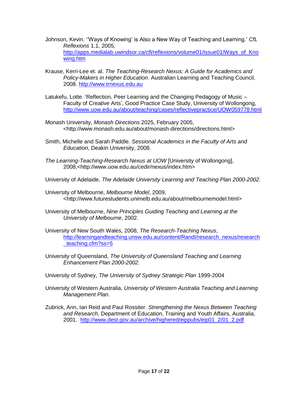- Johnson, Kevin. ''Ways of Knowing' is Also a New Way of Teaching and Learning.' *CfL Reflexions* 1.1, 2005, [http://apps.medialab.uwindsor.ca/cfl/reflexions/volume01/issue01/Ways\\_of\\_Kno](http://apps.medialab.uwindsor.ca/cfl/reflexions/volume01/issue01/Ways_of_Knowing.htm) [wing.htm](http://apps.medialab.uwindsor.ca/cfl/reflexions/volume01/issue01/Ways_of_Knowing.htm)
- Krause, Kerri-Lee et. al. *The Teaching-Research Nexus: A Guide for Academics and Policy-Makers in Higher Education*. Australian Learning and Teaching Council, 2008. [http://www.trnexus.edu.au](http://www.trnexus.edu.au/)
- Latukefu, Lotte. 'Reflection, Peer Learning and the Changing Pedagogy of Music Faculty of Creative Arts', Good Practice Case Study, University of Wollongong, <http://www.uow.edu.au/about/teaching/cases/reflectivepractice/UOW059778.html>
- Monash University, *Monash Directions* 2025, February 2005, <http://www.monash.edu.au/about/monash-directions/directions.html>
- Smith, Michelle and Sarah Paddle. *Sessional Academics in the Faculty of Arts and Education*, Deakin University, 2008.
- *The Learning-Teaching-Research Nexus at UOW* [University of Wollongong], 2008,<http://www.uow.edu.au/cedir/nexus/index.htm>
- University of Adelaide, *The Adelaide University Learning and Teaching Plan 2000-2002*.
- University of Melbourne, *Melbourne Model*, 2009, <http://www.futurestudents.unimelb.edu.au/about/melbournemodel.html>
- University of Melbourne, *Nine Principles Guiding Teaching and Learning at the University of Melbourne*, 2002.
- University of New South Wales, 2008, *The Research-Teaching Nexus*, [http://learningandteaching.unsw.edu.au/content/RandI/research\\_nexus/research](http://learningandteaching.unsw.edu.au/content/RandI/research_nexus/research_teaching.cfm?ss=5) [\\_teaching.cfm?ss=5](http://learningandteaching.unsw.edu.au/content/RandI/research_nexus/research_teaching.cfm?ss=5)
- University of Queensland, *The University of Queensland Teaching and Learning Enhancement Plan 2000-2002*.
- University of Sydney, *The University of Sydney Strategic Plan* 1999-2004
- University of Western Australia, *University of Western Australia Teaching and Learning Management Plan.*
- Zubrick, Ann, Ian Reid and Paul Rossiter. *Strengthening the Nexus Between Teaching and Research*, Department of Education, Training and Youth Affairs, Australia, 2001. [http://www.dest.gov.au/archive/highered/eippubs/eip01\\_2/01\\_2.pdf](http://www.dest.gov.au/archive/highered/eippubs/eip01_2/01_2.pdf)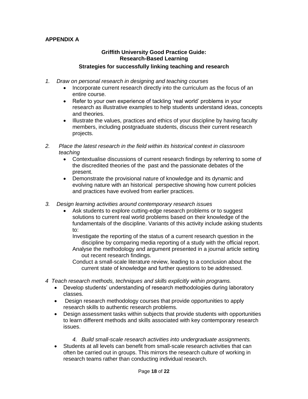## **APPENDIX A**

## **Griffith University Good Practice Guide: Research-Based Learning Strategies for successfully linking teaching and research**

- *1. Draw on personal research in designing and teaching courses*
	- Incorporate current research directly into the curriculum as the focus of an entire course.
	- Refer to your own experience of tackling 'real world' problems in your research as illustrative examples to help students understand ideas, concepts and theories.
	- Illustrate the values, practices and ethics of your discipline by having faculty members, including postgraduate students, discuss their current research projects.
- *2. Place the latest research in the field within its historical context in classroom teaching*
	- Contextualise discussions of current research findings by referring to some of the discredited theories of the past and the passionate debates of the present.
	- Demonstrate the provisional nature of knowledge and its dynamic and evolving nature with an historical perspective showing how current policies and practices have evolved from earlier practices.
- *3. Design learning activities around contemporary research issues*
	- Ask students to explore cutting-edge research problems or to suggest solutions to current real world problems based on their knowledge of the fundamentals of the discipline. Variants of this activity include asking students to:

Investigate the reporting of the status of a current research question in the discipline by comparing media reporting of a study with the official report.

Analyse the methodology and argument presented in a journal article setting out recent research findings.

Conduct a small-scale literature review, leading to a conclusion about the current state of knowledge and further questions to be addressed.

- *4 Teach research methods, techniques and skills explicitly within programs.* 
	- Develop students' understanding of research methodologies during laboratory classes.
	- Design research methodology courses that provide opportunities to apply research skills to authentic research problems.
	- Design assessment tasks within subjects that provide students with opportunities to learn different methods and skills associated with key contemporary research issues.
		- *4. Build small-scale research activities into undergraduate assignments.*
	- Students at all levels can benefit from small-scale research activities that can often be carried out in groups. This mirrors the research culture of working in research teams rather than conducting individual research.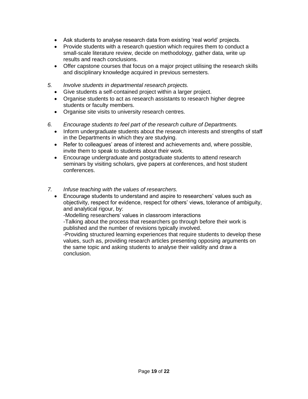- Ask students to analyse research data from existing 'real world' projects.
- Provide students with a research question which requires them to conduct a small-scale literature review, decide on methodology, gather data, write up results and reach conclusions.
- Offer capstone courses that focus on a major project utilising the research skills and disciplinary knowledge acquired in previous semesters.
- *5. Involve students in departmental research projects.* 
	- Give students a self-contained project within a larger project.
	- Organise students to act as research assistants to research higher degree students or faculty members.
	- Organise site visits to university research centres.
- *6. Encourage students to feel part of the research culture of Departments.* 
	- Inform undergraduate students about the research interests and strengths of staff in the Departments in which they are studying.
	- Refer to colleagues' areas of interest and achievements and, where possible, invite them to speak to students about their work.
	- Encourage undergraduate and postgraduate students to attend research seminars by visiting scholars, give papers at conferences, and host student conferences.
- *7. Infuse teaching with the values of researchers.* 
	- Encourage students to understand and aspire to researchers' values such as objectivity, respect for evidence, respect for others' views, tolerance of ambiguity, and analytical rigour, by:

-Modelling researchers' values in classroom interactions

-Talking about the process that researchers go through before their work is published and the number of revisions typically involved.

-Providing structured learning experiences that require students to develop these values, such as, providing research articles presenting opposing arguments on the same topic and asking students to analyse their validity and draw a conclusion.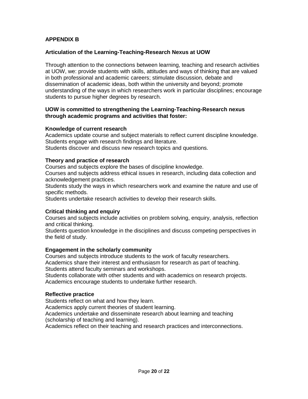## **APPENDIX B**

#### **Articulation of the Learning-Teaching-Research Nexus at UOW**

Through attention to the connections between learning, teaching and research activities at UOW, we: provide students with skills, attitudes and ways of thinking that are valued in both professional and academic careers; stimulate discussion, debate and dissemination of academic ideas, both within the university and beyond; promote understanding of the ways in which researchers work in particular disciplines; encourage students to pursue higher degrees by research.

#### **UOW is committed to strengthening the Learning-Teaching-Research nexus through academic programs and activities that foster:**

#### **Knowledge of current research**

Academics update course and subject materials to reflect current discipline knowledge. Students engage with research findings and literature.

Students discover and discuss new research topics and questions.

#### **Theory and practice of research**

Courses and subjects explore the bases of discipline knowledge.

Courses and subjects address ethical issues in research, including data collection and acknowledgement practices.

Students study the ways in which researchers work and examine the nature and use of specific methods.

Students undertake research activities to develop their research skills.

#### **Critical thinking and enquiry**

Courses and subjects include activities on problem solving, enquiry, analysis, reflection and critical thinking.

Students question knowledge in the disciplines and discuss competing perspectives in the field of study.

#### **Engagement in the scholarly community**

Courses and subjects introduce students to the work of faculty researchers. Academics share their interest and enthusiasm for research as part of teaching.

Students attend faculty seminars and workshops.

Students collaborate with other students and with academics on research projects. Academics encourage students to undertake further research.

#### **Reflective practice**

Students reflect on what and how they learn.

Academics apply current theories of student learning.

Academics undertake and disseminate research about learning and teaching (scholarship of teaching and learning).

Academics reflect on their teaching and research practices and interconnections.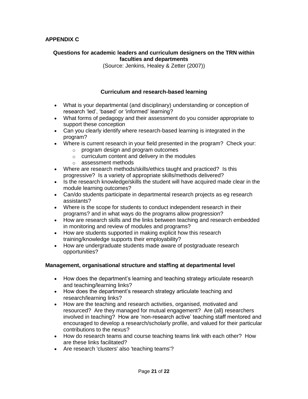#### **Questions for academic leaders and curriculum designers on the TRN within faculties and departments**

(Source: Jenkins, Healey & Zetter (2007))

#### **Curriculum and research-based learning**

- What is your departmental (and disciplinary) understanding or conception of research 'led', 'based' or 'informed' learning?
- What forms of pedagogy and their assessment do you consider appropriate to support these conception
- Can you clearly identify where research-based learning is integrated in the program?
- Where is current research in your field presented in the program? Check your:
	- o program design and program outcomes
	- o curriculum content and delivery in the modules
	- o assessment methods
- Where are research methods/skills/ethics taught and practiced? Is this progressive? Is a variety of appropriate skills/methods delivered?
- Is the research knowledge/skills the student will have acquired made clear in the module learning outcomes?
- Can/do students participate in departmental research projects as eg research assistants?
- Where is the scope for students to conduct independent research in their programs? and in what ways do the programs allow progression?
- How are research skills and the links between teaching and research embedded in monitoring and review of modules and programs?
- How are students supported in making explicit how this research training/knowledge supports their employability?
- How are undergraduate students made aware of postgraduate research opportunities?

#### **Management, organisational structure and staffing at departmental level**

- How does the department's learning and teaching strategy articulate research and teaching/learning links?
- How does the department's research strategy articulate teaching and research/learning links?
- How are the teaching and research activities, organised, motivated and resourced? Are they managed for mutual engagement? Are (all) researchers involved in teaching? How are 'non-research active' teaching staff mentored and encouraged to develop a research/scholarly profile, and valued for their particular contributions to the nexus?
- How do research teams and course teaching teams link with each other? How are these links facilitated?
- Are research 'clusters' also 'teaching teams'?